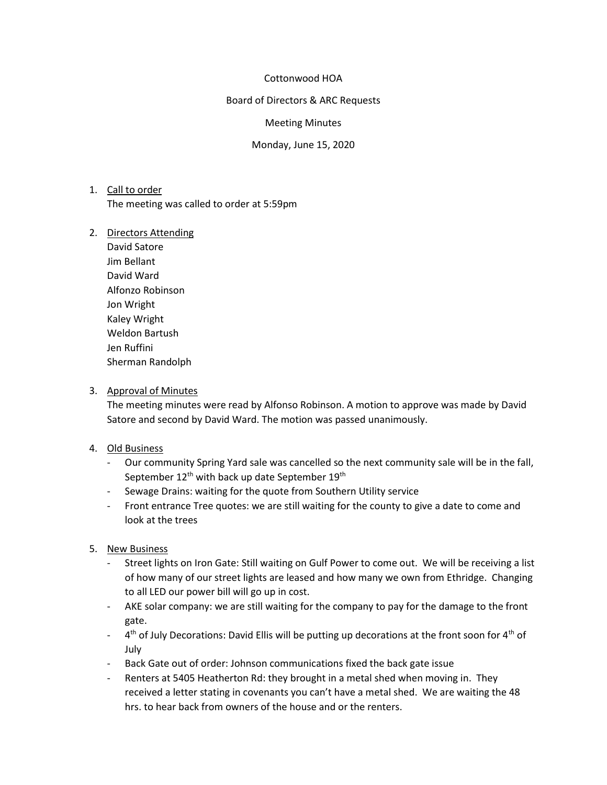#### Cottonwood HOA

Board of Directors & ARC Requests

Meeting Minutes

Monday, June 15, 2020

# 1. Call to order The meeting was called to order at 5:59pm

#### 2. Directors Attending

David Satore Jim Bellant David Ward Alfonzo Robinson Jon Wright Kaley Wright Weldon Bartush Jen Ruffini Sherman Randolph

### 3. Approval of Minutes

The meeting minutes were read by Alfonso Robinson. A motion to approve was made by David Satore and second by David Ward. The motion was passed unanimously.

#### 4. Old Business

- Our community Spring Yard sale was cancelled so the next community sale will be in the fall, September 12<sup>th</sup> with back up date September 19<sup>th</sup>
- Sewage Drains: waiting for the quote from Southern Utility service
- Front entrance Tree quotes: we are still waiting for the county to give a date to come and look at the trees

## 5. New Business

- Street lights on Iron Gate: Still waiting on Gulf Power to come out. We will be receiving a list of how many of our street lights are leased and how many we own from Ethridge. Changing to all LED our power bill will go up in cost.
- AKE solar company: we are still waiting for the company to pay for the damage to the front gate.
- $-$  4<sup>th</sup> of July Decorations: David Ellis will be putting up decorations at the front soon for 4<sup>th</sup> of July
- Back Gate out of order: Johnson communications fixed the back gate issue
- Renters at 5405 Heatherton Rd: they brought in a metal shed when moving in. They received a letter stating in covenants you can't have a metal shed. We are waiting the 48 hrs. to hear back from owners of the house and or the renters.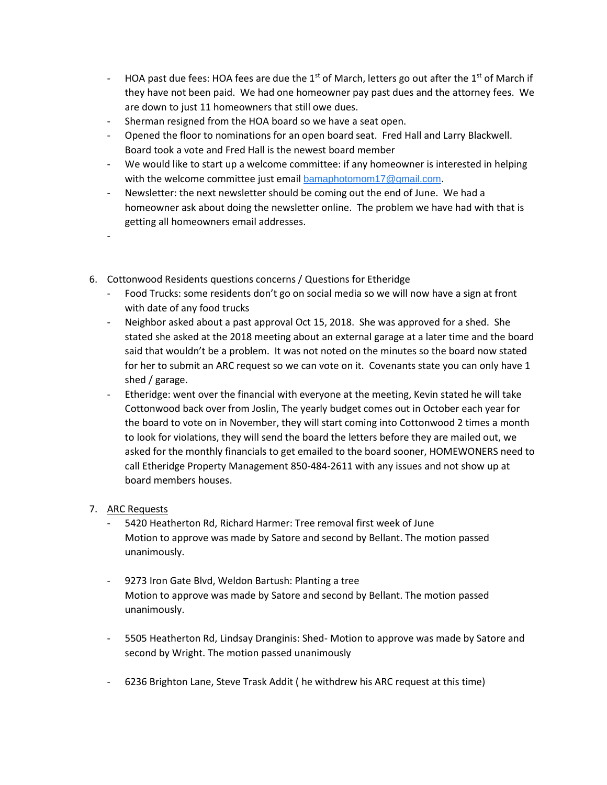- HOA past due fees: HOA fees are due the 1<sup>st</sup> of March, letters go out after the 1<sup>st</sup> of March if they have not been paid. We had one homeowner pay past dues and the attorney fees. We are down to just 11 homeowners that still owe dues.
- Sherman resigned from the HOA board so we have a seat open.
- Opened the floor to nominations for an open board seat. Fred Hall and Larry Blackwell. Board took a vote and Fred Hall is the newest board member
- We would like to start up a welcome committee: if any homeowner is interested in helping with the welcome committee just email [bamaphotomom17@gmail.com](mailto:bamaphotomom17@gmail.com).
- Newsletter: the next newsletter should be coming out the end of June. We had a homeowner ask about doing the newsletter online. The problem we have had with that is getting all homeowners email addresses.
- 6. Cottonwood Residents questions concerns / Questions for Etheridge
	- Food Trucks: some residents don't go on social media so we will now have a sign at front with date of any food trucks
	- Neighbor asked about a past approval Oct 15, 2018. She was approved for a shed. She stated she asked at the 2018 meeting about an external garage at a later time and the board said that wouldn't be a problem. It was not noted on the minutes so the board now stated for her to submit an ARC request so we can vote on it. Covenants state you can only have 1 shed / garage.
	- Etheridge: went over the financial with everyone at the meeting, Kevin stated he will take Cottonwood back over from Joslin, The yearly budget comes out in October each year for the board to vote on in November, they will start coming into Cottonwood 2 times a month to look for violations, they will send the board the letters before they are mailed out, we asked for the monthly financials to get emailed to the board sooner, HOMEWONERS need to call Etheridge Property Management 850-484-2611 with any issues and not show up at board members houses.

## 7. ARC Requests

-

- 5420 Heatherton Rd, Richard Harmer: Tree removal first week of June Motion to approve was made by Satore and second by Bellant. The motion passed unanimously.
- 9273 Iron Gate Blvd, Weldon Bartush: Planting a tree Motion to approve was made by Satore and second by Bellant. The motion passed unanimously.
- 5505 Heatherton Rd, Lindsay Dranginis: Shed- Motion to approve was made by Satore and second by Wright. The motion passed unanimously
- 6236 Brighton Lane, Steve Trask Addit ( he withdrew his ARC request at this time)